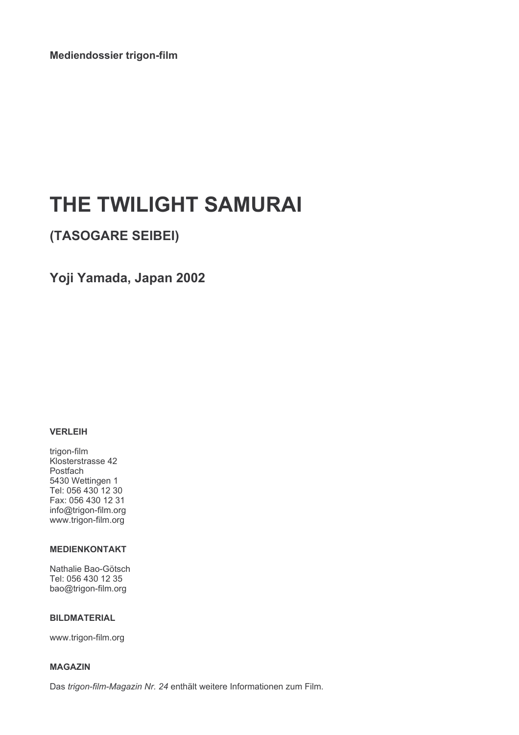Mediendossier trigon-film

# THE TWILIGHT SAMURAI

(TASOGARE SEIBEI)

Yoji Yamada, Japan 2002

# **VERLEIH**

trigon-film Klosterstrasse 42 Postfach 5430 Wettingen 1 Tel: 056 430 12 30 Fax: 056 430 12 31 info@trigon-film.org www.trigon-film.org

# **MEDIENKONTAKT**

Nathalie Bao-Götsch Tel: 056 430 12 35 bao@trigon-film.org

# **BILDMATERIAL**

www.trigon-film.org

### **MAGAZIN**

Das trigon-film-Magazin Nr. 24 enthält weitere Informationen zum Film.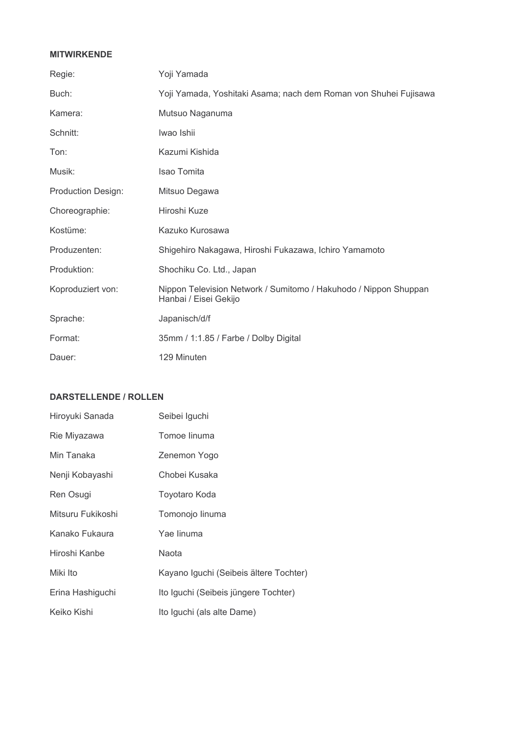# **MITWIRKENDE**

| Regie:                    | Yoji Yamada                                                                               |
|---------------------------|-------------------------------------------------------------------------------------------|
| Buch:                     | Yoji Yamada, Yoshitaki Asama; nach dem Roman von Shuhei Fujisawa                          |
| Kamera:                   | Mutsuo Naganuma                                                                           |
| Schnitt:                  | Iwao Ishii                                                                                |
| Ton:                      | Kazumi Kishida                                                                            |
| Musik:                    | <b>Isao Tomita</b>                                                                        |
| <b>Production Design:</b> | Mitsuo Degawa                                                                             |
| Choreographie:            | Hiroshi Kuze                                                                              |
| Kostüme:                  | Kazuko Kurosawa                                                                           |
| Produzenten:              | Shigehiro Nakagawa, Hiroshi Fukazawa, Ichiro Yamamoto                                     |
| Produktion:               | Shochiku Co. Ltd., Japan                                                                  |
| Koproduziert von:         | Nippon Television Network / Sumitomo / Hakuhodo / Nippon Shuppan<br>Hanbai / Eisei Gekijo |
| Sprache:                  | Japanisch/d/f                                                                             |
| Format:                   | 35mm / 1:1.85 / Farbe / Dolby Digital                                                     |
| Dauer:                    | 129 Minuten                                                                               |

# **DARSTELLENDE / ROLLEN**

| Hiroyuki Sanada   | Seibei Iguchi                          |
|-------------------|----------------------------------------|
| Rie Miyazawa      | Tomoe linuma                           |
| Min Tanaka        | Zenemon Yogo                           |
| Nenji Kobayashi   | Chobei Kusaka                          |
| Ren Osugi         | Toyotaro Koda                          |
| Mitsuru Fukikoshi | Tomonojo linuma                        |
| Kanako Fukaura    | Yae linuma                             |
| Hiroshi Kanbe     | Naota                                  |
| Miki Ito          | Kayano Iguchi (Seibeis ältere Tochter) |
| Erina Hashiguchi  | Ito Iguchi (Seibeis jüngere Tochter)   |
| Keiko Kishi       | Ito Iguchi (als alte Dame)             |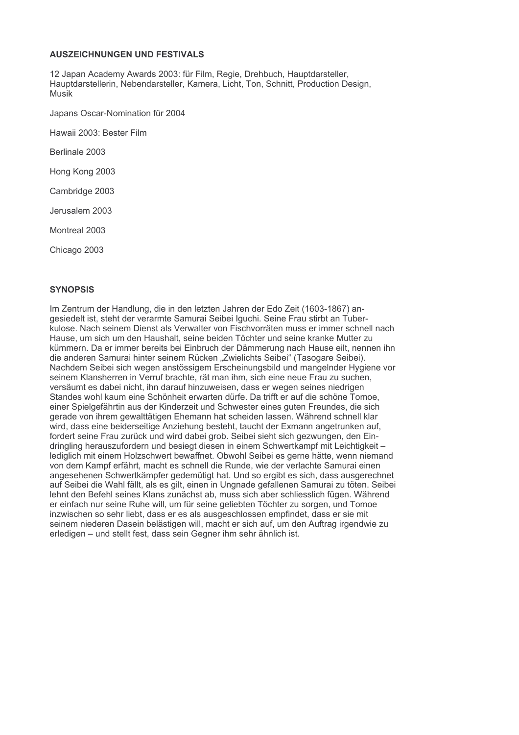# **AUSZEICHNUNGEN UND FESTIVALS**

12 Japan Academy Awards 2003; für Film, Regie, Drehbuch, Hauptdarsteller, Hauptdarstellerin, Nebendarsteller, Kamera, Licht, Ton, Schnitt, Production Design, Musik

Japans Oscar-Nomination für 2004

Hawaii 2003: Bester Film

Berlinale 2003

Hong Kong 2003

Cambridge 2003

Jerusalem 2003

Montreal 2003

Chicago 2003

### **SYNOPSIS**

Im Zentrum der Handlung, die in den letzten Jahren der Edo Zeit (1603-1867) angesiedelt ist, steht der verarmte Samurai Seibei Iguchi. Seine Frau stirbt an Tuberkulose. Nach seinem Dienst als Verwalter von Fischvorräten muss er immer schnell nach Hause, um sich um den Haushalt, seine beiden Töchter und seine kranke Mutter zu kümmern. Da er immer bereits bei Einbruch der Dämmerung nach Hause eilt, nennen ihn die anderen Samurai hinter seinem Rücken "Zwielichts Seibei" (Tasogare Seibei). Nachdem Seibei sich wegen anstössigem Erscheinungsbild und mangelnder Hygiene vor seinem Klansherren in Verruf brachte, rät man ihm, sich eine neue Frau zu suchen. versäumt es dabei nicht, ihn darauf hinzuweisen, dass er wegen seines niedrigen Standes wohl kaum eine Schönheit erwarten dürfe. Da trifft er auf die schöne Tomoe, einer Spielgefährtin aus der Kinderzeit und Schwester eines guten Freundes, die sich gerade von ihrem gewalttätigen Ehemann hat scheiden lassen. Während schnell klar wird, dass eine beiderseitige Anziehung besteht, taucht der Exmann angetrunken auf. fordert seine Frau zurück und wird dabei grob. Seibei sieht sich gezwungen, den Eindringling herauszufordern und besiegt diesen in einem Schwertkampf mit Leichtigkeitlediglich mit einem Holzschwert bewaffnet. Obwohl Seibei es gerne hätte, wenn niemand von dem Kampf erfährt, macht es schnell die Runde, wie der verlachte Samurai einen angesehenen Schwertkämpfer gedemütigt hat. Und so ergibt es sich, dass ausgerechnet auf Seibei die Wahl fällt, als es gilt, einen in Ungnade gefallenen Samurai zu töten. Seibei lehnt den Befehl seines Klans zunächst ab. muss sich aber schliesslich fügen. Während er einfach nur seine Ruhe will, um für seine geliebten Töchter zu sorgen, und Tomoe inzwischen so sehr liebt, dass er es als ausgeschlossen empfindet, dass er sie mit seinem niederen Dasein belästigen will, macht er sich auf, um den Auftrag irgendwie zu erledigen – und stellt fest, dass sein Gegner ihm sehr ähnlich ist.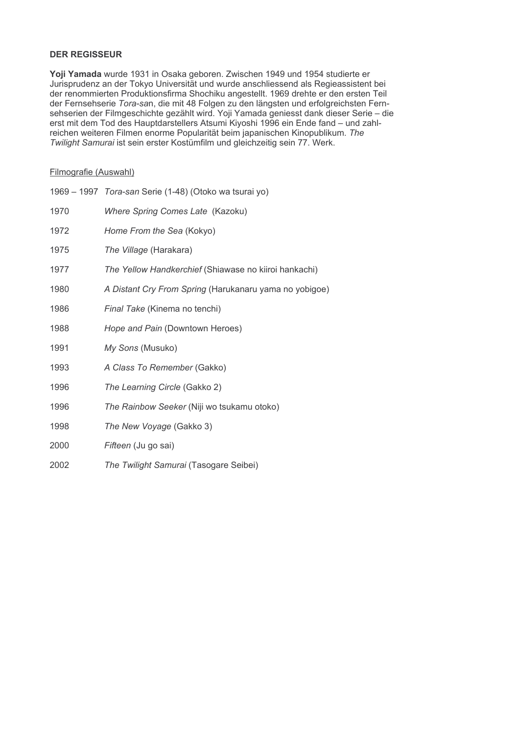# **DER REGISSEUR**

Yoji Yamada wurde 1931 in Osaka geboren. Zwischen 1949 und 1954 studierte er Jurisprudenz an der Tokyo Universität und wurde anschliessend als Regieassistent bei der renommierten Produktionsfirma Shochiku angestellt. 1969 drehte er den ersten Teil der Fernsehserie Tora-san, die mit 48 Folgen zu den längsten und erfolgreichsten Fernsehserien der Filmgeschichte gezählt wird. Yoji Yamada geniesst dank dieser Serie - die erst mit dem Tod des Hauptdarstellers Atsumi Kiyoshi 1996 ein Ende fand - und zahlreichen weiteren Filmen enorme Popularität beim japanischen Kinopublikum. The Twilight Samurai ist sein erster Kostümfilm und gleichzeitig sein 77. Werk.

# Filmografie (Auswahl)

|      | 1969 - 1997 Tora-san Serie (1-48) (Otoko wa tsurai yo) |
|------|--------------------------------------------------------|
| 1970 | Where Spring Comes Late (Kazoku)                       |
| 1972 | Home From the Sea (Kokyo)                              |
| 1975 | The Village (Harakara)                                 |
| 1977 | The Yellow Handkerchief (Shiawase no kiiroi hankachi)  |
| 1980 | A Distant Cry From Spring (Harukanaru yama no yobigoe) |
| 1986 | Final Take (Kinema no tenchi)                          |
| 1988 | Hope and Pain (Downtown Heroes)                        |
| 1991 | My Sons (Musuko)                                       |
| 1993 | A Class To Remember (Gakko)                            |
| 1996 | The Learning Circle (Gakko 2)                          |
| 1996 | The Rainbow Seeker (Niji wo tsukamu otoko)             |
| 1998 | The New Voyage (Gakko 3)                               |
| 2000 | Fifteen (Ju go sai)                                    |
| 2002 | The Twilight Samurai (Tasogare Seibei)                 |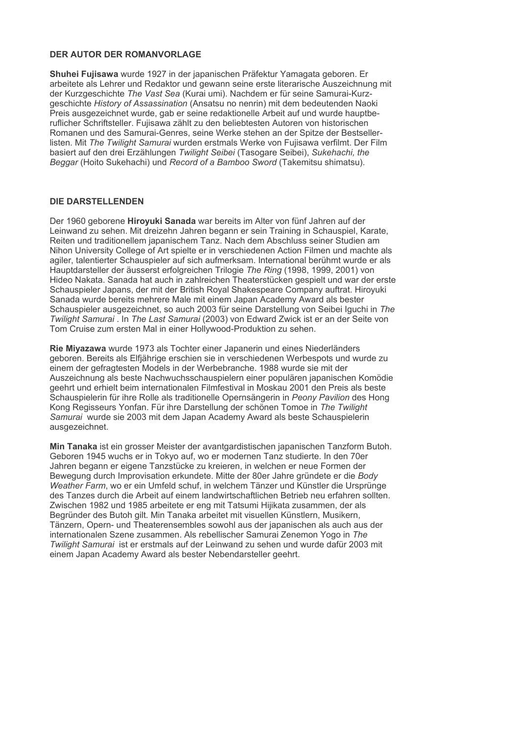# **DER AUTOR DER ROMANVORLAGE**

Shuhei Fujisawa wurde 1927 in der japanischen Präfektur Yamagata geboren. Er arbeitete als Lehrer und Redaktor und gewann seine erste literarische Auszeichnung mit der Kurzgeschichte The Vast Sea (Kurai umi). Nachdem er für seine Samurai-Kurzgeschichte History of Assassination (Ansatsu no nenrin) mit dem bedeutenden Naoki Preis ausgezeichnet wurde, gab er seine redaktionelle Arbeit auf und wurde hauptberuflicher Schriftsteller. Fujisawa zählt zu den beliebtesten Autoren von historischen Romanen und des Samurai-Genres, seine Werke stehen an der Spitze der Bestsellerlisten. Mit The Twilight Samurai wurden erstmals Werke von Fujisawa verfilmt. Der Film basiert auf den drei Erzählungen Twilight Seibei (Tasogare Seibei), Sukehachi, the Beggar (Hoito Sukehachi) und Record of a Bamboo Sword (Takemitsu shimatsu).

#### **DIE DARSTELLENDEN**

Der 1960 geborene Hiroyuki Sanada war bereits im Alter von fünf Jahren auf der Leinwand zu sehen. Mit dreizehn Jahren begann er sein Training in Schauspiel, Karate, Reiten und traditionellem japanischem Tanz. Nach dem Abschluss seiner Studien am Nihon University College of Art spielte er in verschiedenen Action Filmen und machte als agiler, talentierter Schauspieler auf sich aufmerksam. International berühmt wurde er als Hauptdarsteller der äusserst erfolgreichen Trilogie The Ring (1998, 1999, 2001) von Hideo Nakata. Sanada hat auch in zahlreichen Theaterstücken gespielt und war der erste Schauspieler Japans, der mit der British Roval Shakespeare Company auftrat. Hirovuki Sanada wurde bereits mehrere Male mit einem Japan Academy Award als bester Schauspieler ausgezeichnet, so auch 2003 für seine Darstellung von Seibei Iguchi in The Twilight Samurai . In The Last Samurai (2003) von Edward Zwick ist er an der Seite von Tom Cruise zum ersten Mal in einer Hollywood-Produktion zu sehen.

Rie Mivazawa wurde 1973 als Tochter einer Japanerin und eines Niederländers geboren. Bereits als Elfjährige erschien sie in verschiedenen Werbespots und wurde zu einem der gefragtesten Models in der Werbebranche. 1988 wurde sie mit der Auszeichnung als beste Nachwuchsschauspielern einer populären japanischen Komödie geehrt und erhielt beim internationalen Filmfestival in Moskau 2001 den Preis als beste Schauspielerin für ihre Rolle als traditionelle Opernsängerin in Peony Pavilion des Hong Kong Regisseurs Yonfan. Für ihre Darstellung der schönen Tomoe in The Twilight Samurai wurde sie 2003 mit dem Japan Academy Award als beste Schauspielerin ausgezeichnet.

Min Tanaka ist ein grosser Meister der avantgardistischen japanischen Tanzform Butoh. Geboren 1945 wuchs er in Tokyo auf, wo er modernen Tanz studierte. In den 70er Jahren begann er eigene Tanzstücke zu kreieren, in welchen er neue Formen der Bewegung durch Improvisation erkundete. Mitte der 80er Jahre gründete er die Body Weather Farm, wo er ein Umfeld schuf, in welchem Tänzer und Künstler die Ursprünge des Tanzes durch die Arbeit auf einem landwirtschaftlichen Betrieb neu erfahren sollten. Zwischen 1982 und 1985 arbeitete er eng mit Tatsumi Hijikata zusammen, der als Begründer des Butoh gilt. Min Tanaka arbeitet mit visuellen Künstlern, Musikern, Tänzern. Opern- und Theaterensembles sowohl aus der japanischen als auch aus der internationalen Szene zusammen. Als rebellischer Samurai Zenemon Yogo in The Twilight Samurai ist er erstmals auf der Leinwand zu sehen und wurde dafür 2003 mit einem Japan Academy Award als bester Nebendarsteller geehrt.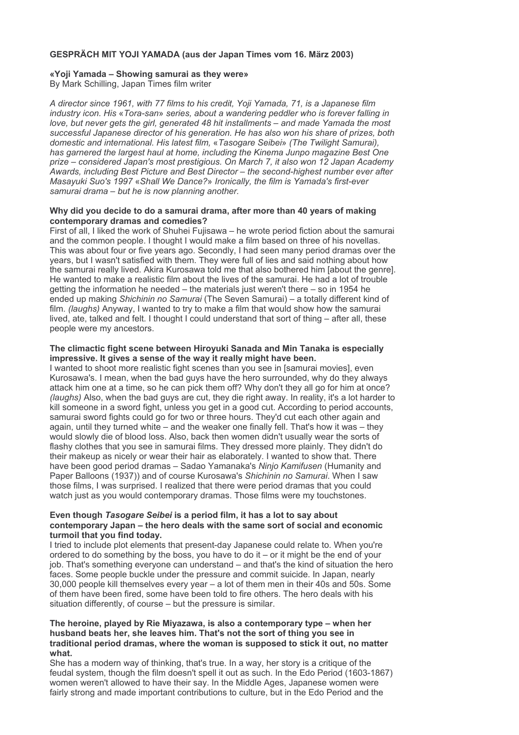# GESPRÄCH MIT YOJI YAMADA (aus der Japan Times vom 16. März 2003)

#### «Yoji Yamada - Showing samurai as they were» By Mark Schilling, Japan Times film writer

A director since 1961, with 77 films to his credit, Yoji Yamada, 71, is a Japanese film industry icon. His «Tora-san» series, about a wandering peddler who is forever falling in love, but never gets the girl, generated 48 hit installments - and made Yamada the most successful Japanese director of his generation. He has also won his share of prizes, both domestic and international. His latest film. «Tasogare Seibei» (The Twilight Samurai). has garnered the largest haul at home, including the Kinema Junpo magazine Best One prize – considered Japan's most prestigious. On March 7, it also won 12 Japan Academy Awards, including Best Picture and Best Director - the second-highest number ever after Masayuki Suo's 1997 «Shall We Dance?» Ironically, the film is Yamada's first-ever samurai drama - but he is now planning another.

#### Why did you decide to do a samurai drama, after more than 40 years of making contemporary dramas and comedies?

First of all, I liked the work of Shuhei Fujisawa – he wrote period fiction about the samurai and the common people. I thought I would make a film based on three of his novellas. This was about four or five years ago. Secondly, I had seen many period dramas over the years, but I wasn't satisfied with them. They were full of lies and said nothing about how the samurai really lived. Akira Kurosawa told me that also bothered him [about the genre]. He wanted to make a realistic film about the lives of the samurai. He had a lot of trouble getting the information he needed - the materials just weren't there - so in 1954 he ended up making Shichinin no Samurai (The Seven Samurai) - a totally different kind of film. (laughs) Anyway, I wanted to try to make a film that would show how the samurai lived, ate, talked and felt. I thought I could understand that sort of thing – after all, these people were my ancestors.

# The climactic fight scene between Hiroyuki Sanada and Min Tanaka is especially impressive. It gives a sense of the way it really might have been.

I wanted to shoot more realistic fight scenes than you see in [samurai movies], even Kurosawa's. I mean, when the bad guys have the hero surrounded, why do they always attack him one at a time, so he can pick them off? Why don't they all go for him at once? (laughs) Also, when the bad guys are cut, they die right away. In reality, it's a lot harder to kill someone in a sword fight, unless you get in a good cut. According to period accounts, samurai sword fights could go for two or three hours. They'd cut each other again and again, until they turned white - and the weaker one finally fell. That's how it was - they would slowly die of blood loss. Also, back then women didn't usually wear the sorts of flashy clothes that you see in samurai films. They dressed more plainly. They didn't do their makeup as nicely or wear their hair as elaborately. I wanted to show that. There have been good period dramas - Sadao Yamanaka's Ninjo Kamifusen (Humanity and Paper Balloons (1937)) and of course Kurosawa's Shichinin no Samurai. When I saw those films, I was surprised. I realized that there were period dramas that you could watch just as you would contemporary dramas. Those films were my touchstones.

### Even though Tasogare Seibei is a period film, it has a lot to say about contemporary Japan – the hero deals with the same sort of social and economic turmoil that you find today.

I tried to include plot elements that present-day Japanese could relate to. When you're ordered to do something by the boss, you have to do it – or it might be the end of your job. That's something everyone can understand - and that's the kind of situation the hero faces. Some people buckle under the pressure and commit suicide. In Japan, nearly 30,000 people kill themselves every year – a lot of them men in their 40s and 50s. Some of them have been fired, some have been told to fire others. The hero deals with his situation differently, of course – but the pressure is similar.

#### The heroine, played by Rie Miyazawa, is also a contemporary type - when her husband beats her, she leaves him. That's not the sort of thing you see in traditional period dramas, where the woman is supposed to stick it out, no matter what.

She has a modern way of thinking, that's true. In a way, her story is a critique of the feudal system, though the film doesn't spell it out as such. In the Edo Period (1603-1867) women weren't allowed to have their say. In the Middle Ages, Japanese women were fairly strong and made important contributions to culture, but in the Edo Period and the